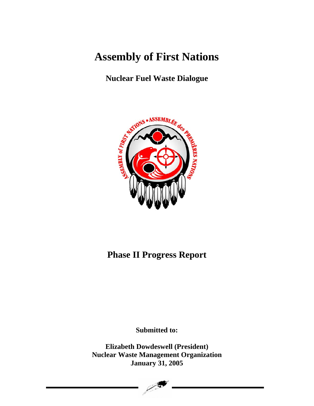# **Assembly of First Nations**

# **Nuclear Fuel Waste Dialogue**



# **Phase II Progress Report**

**Submitted to:** 

**Elizabeth Dowdeswell (President) Nuclear Waste Management Organization January 31, 2005** 

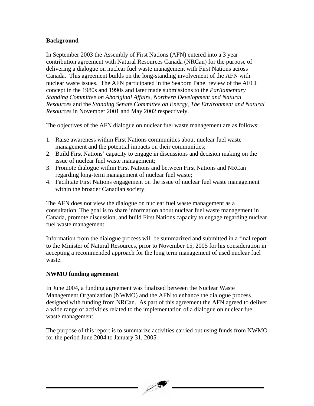#### **Background**

In September 2003 the Assembly of First Nations (AFN) entered into a 3 year contribution agreement with Natural Resources Canada (NRCan) for the purpose of delivering a dialogue on nuclear fuel waste management with First Nations across Canada. This agreement builds on the long-standing involvement of the AFN with nuclear waste issues. The AFN participated in the Seaborn Panel review of the AECL concept in the 1980s and 1990s and later made submissions to the *Parliamentary Standing Committee on Aboriginal Affairs, Northern Development and Natural Resources* and the *Standing Senate Committee on Energy, The Environment and Natural Resources* in November 2001 and May 2002 respectively.

The objectives of the AFN dialogue on nuclear fuel waste management are as follows:

- 1. Raise awareness within First Nations communities about nuclear fuel waste management and the potential impacts on their communities;
- 2. Build First Nations' capacity to engage in discussions and decision making on the issue of nuclear fuel waste management;
- 3. Promote dialogue within First Nations and between First Nations and NRCan regarding long-term management of nuclear fuel waste;
- 4. Facilitate First Nations engagement on the issue of nuclear fuel waste management within the broader Canadian society.

The AFN does not view the dialogue on nuclear fuel waste management as a consultation. The goal is to share information about nuclear fuel waste management in Canada, promote discussion, and build First Nations capacity to engage regarding nuclear fuel waste management.

Information from the dialogue process will be summarized and submitted in a final report to the Minister of Natural Resources, prior to November 15, 2005 for his consideration in accepting a recommended approach for the long term management of used nuclear fuel waste.

### **NWMO funding agreement**

In June 2004, a funding agreement was finalized between the Nuclear Waste Management Organization (NWMO) and the AFN to enhance the dialogue process designed with funding from NRCan. As part of this agreement the AFN agreed to deliver a wide range of activities related to the implementation of a dialogue on nuclear fuel waste management.

The purpose of this report is to summarize activities carried out using funds from NWMO for the period June 2004 to January 31, 2005.

 $\mathbb{Z}$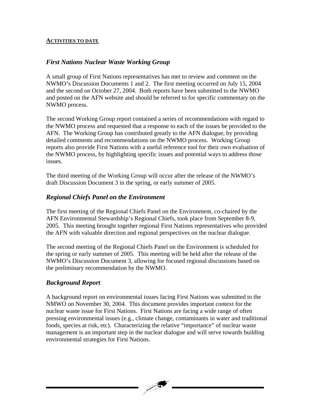#### **ACTIVITIES TO DATE**

## *First Nations Nuclear Waste Working Group*

A small group of First Nations representatives has met to review and comment on the NWMO's Discussion Documents 1 and 2. The first meeting occurred on July 15, 2004 and the second on October 27, 2004. Both reports have been submitted to the NWMO and posted on the AFN website and should be referred to for specific commentary on the NWMO process.

The second Working Group report contained a series of recommendations with regard to the NWMO process and requested that a response to each of the issues be provided to the AFN. The Working Group has contributed greatly to the AFN dialogue, by providing detailed comments and recommendations on the NWMO process. Working Group reports also provide First Nations with a useful reference tool for their own evaluation of the NWMO process, by highlighting specific issues and potential ways to address those issues.

The third meeting of the Working Group will occur after the release of the NWMO's draft Discussion Document 3 in the spring, or early summer of 2005.

# *Regional Chiefs Panel on the Environment*

The first meeting of the Regional Chiefs Panel on the Environment, co-chaired by the AFN Environmental Stewardship's Regional Chiefs, took place from September 8-9, 2005. This meeting brought together regional First Nations representatives who provided the AFN with valuable direction and regional perspectives on the nuclear dialogue.

The second meeting of the Regional Chiefs Panel on the Environment is scheduled for the spring or early summer of 2005. This meeting will be held after the release of the NWMO's Discussion Document 3, allowing for focused regional discussions based on the preliminary recommendation by the NWMO.

# *Background Report*

A background report on environmental issues facing First Nations was submitted to the NMWO on November 30, 2004. This document provides important context for the nuclear waste issue for First Nations. First Nations are facing a wide range of often pressing environmental issues (e.g., climate change, contaminants in water and traditional foods, species at risk, etc). Characterizing the relative "importance" of nuclear waste management is an important step in the nuclear dialogue and will serve towards building environmental strategies for First Nations.

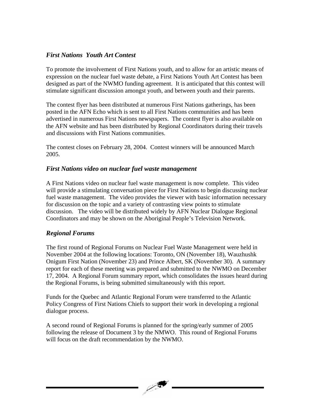# *First Nations Youth Art Contest*

To promote the involvement of First Nations youth, and to allow for an artistic means of expression on the nuclear fuel waste debate, a First Nations Youth Art Contest has been designed as part of the NWMO funding agreement. It is anticipated that this contest will stimulate significant discussion amongst youth, and between youth and their parents.

The contest flyer has been distributed at numerous First Nations gatherings, has been posted in the AFN Echo which is sent to all First Nations communities and has been advertised in numerous First Nations newspapers. The contest flyer is also available on the AFN website and has been distributed by Regional Coordinators during their travels and discussions with First Nations communities.

The contest closes on February 28, 2004. Contest winners will be announced March 2005.

#### *First Nations video on nuclear fuel waste management*

A First Nations video on nuclear fuel waste management is now complete. This video will provide a stimulating conversation piece for First Nations to begin discussing nuclear fuel waste management. The video provides the viewer with basic information necessary for discussion on the topic and a variety of contrasting view points to stimulate discussion. The video will be distributed widely by AFN Nuclear Dialogue Regional Coordinators and may be shown on the Aboriginal People's Television Network.

### *Regional Forums*

The first round of Regional Forums on Nuclear Fuel Waste Management were held in November 2004 at the following locations: Toronto, ON (November 18), Wauzhushk Onigum First Nation (November 23) and Prince Albert, SK (November 30). A summary report for each of these meeting was prepared and submitted to the NWMO on December 17, 2004. A Regional Forum summary report, which consolidates the issues heard during the Regional Forums, is being submitted simultaneously with this report.

Funds for the Quebec and Atlantic Regional Forum were transferred to the Atlantic Policy Congress of First Nations Chiefs to support their work in developing a regional dialogue process.

A second round of Regional Forums is planned for the spring/early summer of 2005 following the release of Document 3 by the NMWO. This round of Regional Forums will focus on the draft recommendation by the NWMO.